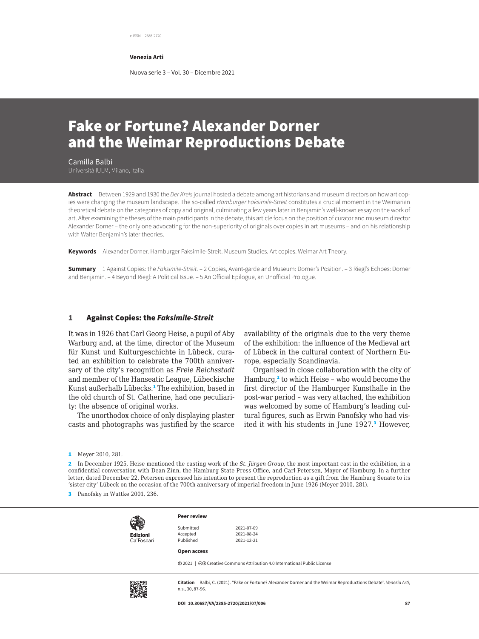e-ISSN 2385-2720

**Venezia Arti**

Nuova serie 3 – Vol. 30 – Dicembre 2021

# Fake or Fortune? Alexander Dorner and the Weimar Reproductions Debate

Camilla Balbi Università IULM, Milano, Italia

**Abstract** Between 1929 and 1930 the *Der Kreis* journal hosted a debate among art historians and museum directors on how art copies were changing the museum landscape. The so-called *Hamburger Faksimile-Streit* constitutes a crucial moment in the Weimarian theoretical debate on the categories of copy and original, culminating a few years later in Benjamin's well-known essay on the work of art. After examining the theses of the main participants in the debate, this article focus on the position of curator and museum director Alexander Dorner – the only one advocating for the non-superiority of originals over copies in art museums – and on his relationship with Walter Benjamin's later theories.

**Keywords** Alexander Dorner. Hamburger Faksimile-Streit. Museum Studies. Art copies. Weimar Art Theory.

**Summary** 1 Against Copies: the *Faksimile-Streit*. – 2 Copies, Avant-garde and Museum: Dorner's Position. – 3 Riegl's Echoes: Dorner and Benjamin. – 4 Beyond Riegl: A Political Issue. – 5 An Official Epilogue, an Unofficial Prologue.

#### 1 Against Copies: the *Faksimile-Streit*

It was in 1926 that Carl Georg Heise, a pupil of Aby Warburg and, at the time, director of the Museum für Kunst und Kulturgeschichte in Lübeck, curated an exhibition to celebrate the 700th anniversary of the city's recognition as *Freie Reichsstadt* and member of the Hanseatic League, Lübeckische Kunst außerhalb Lübecks.<sup>1</sup> The exhibition, based in the old church of St. Catherine, had one peculiarity: the absence of original works.

The unorthodox choice of only displaying plaster casts and photographs was justified by the scarce

availability of the originals due to the very theme of the exhibition: the influence of the Medieval art of Lübeck in the cultural context of Northern Europe, especially Scandinavia.

Organised in close collaboration with the city of Hamburg,<sup>2</sup> to which Heise - who would become the first director of the Hamburger Kunsthalle in the post-war period – was very attached, the exhibition was welcomed by some of Hamburg's leading cultural figures, such as Erwin Panofsky who had visited it with his students in June 1927.<sup>3</sup> However,

<sup>3</sup> Panofsky in Wuttke 2001, 236.

| <b>Edizioni</b><br>Ca'Foscari |  |
|-------------------------------|--|

**Peer review**

Submitted 2021-07-09<br>Accented 2021-08-24 Published 2021-12-21

**Open access**

Accepted

**©** 2021 | @ Creative Commons Attribution 4.0 International Public License



**Citation** Balbi, C. (2021). "Fake or Fortune? Alexander Dorner and the Weimar Reproductions Debate". *Venezia Arti*, n.s., 30, 87-96.

<sup>1</sup> Meyer 2010, 281.

<sup>2</sup> In December 1925, Heise mentioned the casting work of the *St. Jürgen Group*, the most important cast in the exhibition, in a confidential conversation with Dean Zinn, the Hamburg State Press Office, and Carl Petersen, Mayor of Hamburg. In a further letter, dated December 22, Petersen expressed his intention to present the reproduction as a gift from the Hamburg Senate to its 'sister city' Lübeck on the occasion of the 700th anniversary of imperial freedom in June 1926 (Meyer 2010, 281).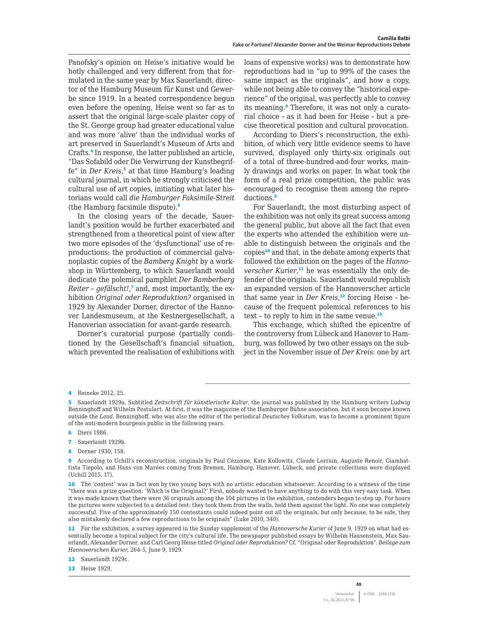Panofsky's opinion on Heise's initiative would be hotly challenged and very different from that formulated in the same year by Max Sauerlandt, director of the Hamburg Museum für Kunst und Gewerbe since 1919. In a heated correspondence begun even before the opening, Heise went so far as to assert that the original large-scale plaster copy of the St. George group had greater educational value and was more 'alive' than the individual works of art preserved in Sauerlandt's Museum of Arts and Crafts.<sup>4</sup> In response, the latter published an article, "Das Sofabild oder Die Verwirrung der Kunstbegriffe" in *Der Kreis*,<sup>5</sup> at that time Hamburg's leading cultural journal, in which he strongly criticised the cultural use of art copies, initiating what later historians would call *die Hamburger Faksimile-Streit* (the Hamburg facsimile dispute).<sup>6</sup>

In the closing years of the decade, Sauerlandt's position would be further exacerbated and strengthened from a theoretical point of view after two more episodes of the 'dysfunctional' use of reproductions: the production of commercial galvanoplastic copies of the *Bamberg Knight* by a workshop in Württemberg, to which Sauerlandt would dedicate the polemical pamphlet *Der Bamberberg Reiter – gefälscht!*, 7 and, most importantly, the exhibition *Original oder Reproduktion?* organised in 1929 by Alexander Dorner, director of the Hannover Landesmuseum, at the Kestnergesellschaft, a Hanoverian association for avant-garde research.

Dorner's curatorial purpose (partially conditioned by the Gesellschaft's financial situation, which prevented the realisation of exhibitions with loans of expensive works) was to demonstrate how reproductions had in "up to 99% of the cases the same impact as the originals", and how a copy, while not being able to convey the "historical experience" of the original, was perfectly able to convey its meaning.<sup>8</sup> Therefore, it was not only a curatorial choice – as it had been for Heise – but a precise theoretical position and cultural provocation.

According to Diers's reconstruction, the exhibition, of which very little evidence seems to have survived, displayed only thirty-six originals out of a total of three-hundred-and-four works, mainly drawings and works on paper. In what took the form of a real prize competition, the public was encouraged to recognise them among the reproductions.<sup>9</sup>

For Sauerlandt, the most disturbing aspect of the exhibition was not only its great success among the general public, but above all the fact that even the experts who attended the exhibition were unable to distinguish between the originals and the copies<sup>10</sup> and that, in the debate among experts that followed the exhibition on the pages of the *Hannoverscher Kurier*, 11 he was essentially the only defender of the originals. Sauerlandt would republish an expanded version of the Hannoverscher article that same year in *Der Kreis*, <sup>12</sup> forcing Heise – because of the frequent polemical references to his text - to reply to him in the same venue. $13$ 

This exchange, which shifted the epicentre of the controversy from Lübeck and Hanover to Hamburg, was followed by two other essays on the subject in the November issue of *Der Kreis*: one by art

- **6** Diers 1986.
- 7 Sauerlandt 1929b.
- 8 Dorner 1930, 158.

<sup>4</sup> Reineke 2012, 25.

<sup>5</sup> Sauerlandt 1929a. Subtitled *Zeitschrift für künstlerische Kultur*, the journal was published by the Hamburg writers Ludwig Benninghoff and Wilhelm Postulart. At first, it was the magazine of the Hamburger Bühne association, but it soon became known outside the *Land*. Benninghoff, who was also the editor of the periodical *Deutsches Volkstum*, was to become a prominent figure of the anti-modern bourgeois public in the following years.

<sup>9</sup> According to Uchill's reconstruction, originals by Paul Cézanne, Kate Kollowitz, Claude Lorrain, Auguste Renoir, Giambattista Tiepolo, and Hans von Marées coming from Bremen, Hamburg, Hanover, Lübeck, and private collections were displayed (Uchill 2015, 17).

<sup>10</sup> The 'contest' was in fact won by two young boys with no artistic education whatsoever. According to a witness of the time "there was a prize question: 'Which is the Original?' First, nobody wanted to have anything to do with this very easy task. When it was made known that there were 36 originals among the 104 pictures in the exhibition, contenders began to step up. For hours the pictures were subjected to a detailed test: they took them from the walls, held them against the light. No one was completely successful. Five of the approximately 150 contestants could indeed point out all the originals, but only because, to be safe, they also mistakenly declared a few reproductions to be originals" (Luke 2010, 340).

<sup>11</sup> For the exhibition, a survey appeared in the Sunday supplement of the *Hannoversche Kurier* of June 9, 1929 on what had essentially become a topical subject for the city's cultural life. The newspaper published essays by Wilhelm Hausenstein, Max Sauerlandt, Alexander Dorner, and Carl Georg Heise titled *Original oder Reproduktion?* Cf. "Original oder Reproduktion". *Beilage zum Hannoverschen Kurier*, 264-5, June 9, 1929.

<sup>12</sup> Sauerlandt 1929c.

**<sup>13</sup>** Heise 1929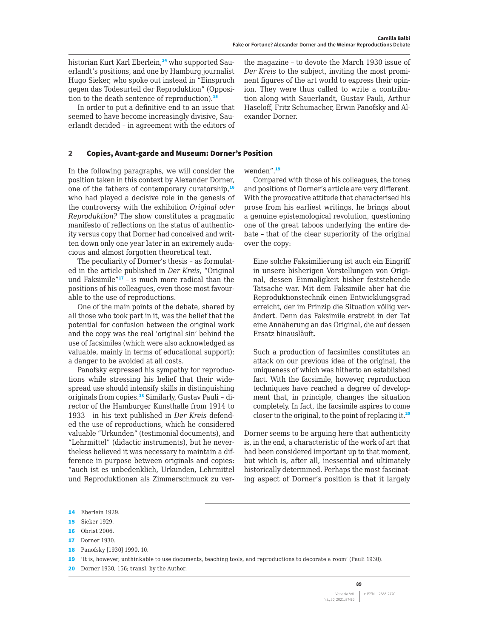historian Kurt Karl Eberlein.<sup>14</sup> who supported Sauerlandt's positions, and one by Hamburg journalist Hugo Sieker, who spoke out instead in "Einspruch gegen das Todesurteil der Reproduktion" (Opposition to the death sentence of reproduction).<sup>15</sup>

In order to put a definitive end to an issue that seemed to have become increasingly divisive, Sauerlandt decided – in agreement with the editors of

the magazine – to devote the March 1930 issue of *Der Kreis* to the subject, inviting the most prominent figures of the art world to express their opinion. They were thus called to write a contribution along with Sauerlandt, Gustav Pauli, Arthur Haseloff, Fritz Schumacher, Erwin Panofsky and Alexander Dorner.

#### 2 Copies, Avant-garde and Museum: Dorner's Position

In the following paragraphs, we will consider the position taken in this context by Alexander Dorner, one of the fathers of contemporary curatorship,<sup>16</sup> who had played a decisive role in the genesis of the controversy with the exhibition *Original oder Reproduktion?* The show constitutes a pragmatic manifesto of reflections on the status of authenticity versus copy that Dorner had conceived and written down only one year later in an extremely audacious and almost forgotten theoretical text.

The peculiarity of Dorner's thesis – as formulated in the article published in *Der Kreis*, "Original und Faksimile"<sup>17</sup> – is much more radical than the positions of his colleagues, even those most favourable to the use of reproductions.

One of the main points of the debate, shared by all those who took part in it, was the belief that the potential for confusion between the original work and the copy was the real 'original sin' behind the use of facsimiles (which were also acknowledged as valuable, mainly in terms of educational support): a danger to be avoided at all costs.

Panofsky expressed his sympathy for reproductions while stressing his belief that their widespread use should intensify skills in distinguishing originals from copies.<sup>18</sup> Similarly, Gustav Pauli – director of the Hamburger Kunsthalle from 1914 to 1933 – in his text published in *Der Kreis* defended the use of reproductions, which he considered valuable "Urkunden" (testimonial documents), and "Lehrmittel" (didactic instruments), but he nevertheless believed it was necessary to maintain a difference in purpose between originals and copies: "auch ist es unbedenklich, Urkunden, Lehrmittel und Reproduktionen als Zimmerschmuck zu verwenden".<sup>19</sup>

Compared with those of his colleagues, the tones and positions of Dorner's article are very different. With the provocative attitude that characterised his prose from his earliest writings, he brings about a genuine epistemological revolution, questioning one of the great taboos underlying the entire debate – that of the clear superiority of the original over the copy:

Eine solche Faksimilierung ist auch ein Eingriff in unsere bisherigen Vorstellungen von Original, dessen Einmaligkeit bisher feststehende Tatsache war. Mit dem Faksimile aber hat die Reproduktionstechnik einen Entwicklungsgrad erreicht, der im Prinzip die Situation völlig verändert. Denn das Faksimile erstrebt in der Tat eine Annäherung an das Original, die auf dessen Ersatz hinausläuft.

Such a production of facsimiles constitutes an attack on our previous idea of the original, the uniqueness of which was hitherto an established fact. With the facsimile, however, reproduction techniques have reached a degree of development that, in principle, changes the situation completely. In fact, the facsimile aspires to come closer to the original, to the point of replacing it.<sup>20</sup>

Dorner seems to be arguing here that authenticity is, in the end, a characteristic of the work of art that had been considered important up to that moment, but which is, after all, inessential and ultimately historically determined. Perhaps the most fascinating aspect of Dorner's position is that it largely

18 Panofsky [1930] 1990, 10.

20 Dorner 1930, 156; transl. by the Author.

<sup>14</sup> Eberlein 1929.

<sup>15</sup> Sieker 1929.

<sup>16</sup> Obrist 2006.

<sup>17</sup> Dorner 1930.

<sup>19</sup> 'It is, however, unthinkable to use documents, teaching tools, and reproductions to decorate a room' (Pauli 1930).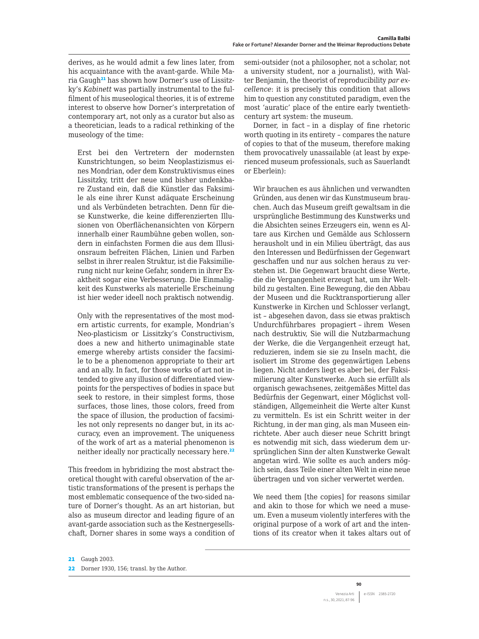derives, as he would admit a few lines later, from his acquaintance with the avant-garde. While Maria Gaugh<sup>21</sup> has shown how Dorner's use of Lissitzky's *Kabinett* was partially instrumental to the fulfilment of his museological theories, it is of extreme interest to observe how Dorner's interpretation of contemporary art, not only as a curator but also as a theoretician, leads to a radical rethinking of the museology of the time:

Erst bei den Vertretern der modernsten Kunstrichtungen, so beim Neoplastizismus eines Mondrian, oder dem Konstruktivismus eines Lissitzky, tritt der neue und bisher undenkbare Zustand ein, daß die Künstler das Faksimile als eine ihrer Kunst adäquate Erscheinung und als Verbündeten betrachten. Denn für diese Kunstwerke, die keine differenzierten Illusionen von Oberflächenansichten von Körpern innerhalb einer Raumbühne geben wollen, sondern in einfachsten Formen die aus dem Illusionsraum befreiten Flächen, Linien und Farben selbst in ihrer realen Struktur, ist die Faksimilierung nicht nur keine Gefahr, sondern in ihrer Exaktheit sogar eine Verbesserung. Die Einmaligkeit des Kunstwerks als materielle Erscheinung ist hier weder ideell noch praktisch notwendig.

Only with the representatives of the most modern artistic currents, for example, Mondrian's Neo-plasticism or Lissitzky's Constructivism, does a new and hitherto unimaginable state emerge whereby artists consider the facsimile to be a phenomenon appropriate to their art and an ally. In fact, for those works of art not intended to give any illusion of differentiated viewpoints for the perspectives of bodies in space but seek to restore, in their simplest forms, those surfaces, those lines, those colors, freed from the space of illusion, the production of facsimiles not only represents no danger but, in its accuracy, even an improvement. The uniqueness of the work of art as a material phenomenon is neither ideally nor practically necessary here.<sup>22</sup>

This freedom in hybridizing the most abstract theoretical thought with careful observation of the artistic transformations of the present is perhaps the most emblematic consequence of the two-sided nature of Dorner's thought. As an art historian, but also as museum director and leading figure of an avant-garde association such as the Kestnergesellschaft, Dorner shares in some ways a condition of semi-outsider (not a philosopher, not a scholar, not a university student, nor a journalist), with Walter Benjamin, the theorist of reproducibility *par excellence*: it is precisely this condition that allows him to question any constituted paradigm, even the most 'auratic' place of the entire early twentiethcentury art system: the museum.

Dorner, in fact – in a display of fine rhetoric worth quoting in its entirety – compares the nature of copies to that of the museum, therefore making them provocatively unassailable (at least by experienced museum professionals, such as Sauerlandt or Eberlein):

Wir brauchen es aus ähnlichen und verwandten Gründen, aus denen wir das Kunstmuseum brauchen. Auch das Museum greift gewaltsam in die ursprüngliche Bestimmung des Kunstwerks und die Absichten seines Erzeugers ein, wenn es Altare aus Kirchen und Gemälde aus Schlossern herausholt und in ein Milieu überträgt, das aus den Interessen und Bedürfnissen der Gegenwart geschaffen und nur aus solchen heraus zu verstehen ist. Die Gegenwart braucht diese Werte, die die Vergangenheit erzeugt hat, um ihr Weltbild zu gestalten. Eine Bewegung, die den Abbau der Museen und die Rucktransportierung aller Kunstwerke in Kirchen und Schlosser verlangt, ist – abgesehen davon, dass sie etwas praktisch Undurchführbares propagiert – ihrem Wesen nach destruktiv, Sie will die Nutzbarmachung der Werke, die die Vergangenheit erzeugt hat, reduzieren, indem sie sie zu Inseln macht, die isoliert im Strome des gegenwärtigen Lebens liegen. Nicht anders liegt es aber bei, der Faksimilierung alter Kunstwerke. Auch sie erfüllt als organisch gewachsenes, zeitgemäßes Mittel das Bedürfnis der Gegenwart, einer Möglichst vollständigen, Allgemeinheit die Werte alter Kunst zu vermitteln. Es ist ein Schritt weiter in der Richtung, in der man ging, als man Museen einrichtete. Aber auch dieser neue Schritt bringt es notwendig mit sich, dass wiederum dem ursprünglichen Sinn der alten Kunstwerke Gewalt angetan wird. Wie sollte es auch anders möglich sein, dass Teile einer alten Welt in eine neue übertragen und von sicher verwertet werden.

We need them [the copies] for reasons similar and akin to those for which we need a museum. Even a museum violently interferes with the original purpose of a work of art and the intentions of its creator when it takes altars out of

21 Gaugh 2003.

Dorner 1930, 156; transl. by the Author.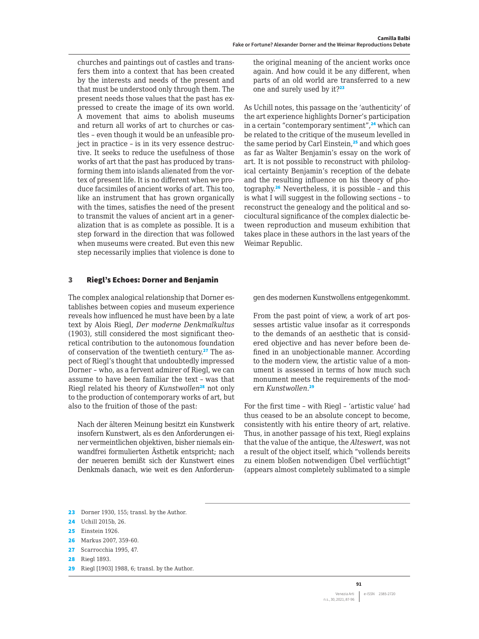churches and paintings out of castles and transfers them into a context that has been created by the interests and needs of the present and that must be understood only through them. The present needs those values that the past has expressed to create the image of its own world. A movement that aims to abolish museums and return all works of art to churches or castles – even though it would be an unfeasible project in practice – is in its very essence destructive. It seeks to reduce the usefulness of those works of art that the past has produced by transforming them into islands alienated from the vortex of present life. It is no different when we produce facsimiles of ancient works of art. This too, like an instrument that has grown organically with the times, satisfies the need of the present to transmit the values of ancient art in a generalization that is as complete as possible. It is a step forward in the direction that was followed when museums were created. But even this new step necessarily implies that violence is done to

#### 3 Riegl's Echoes: Dorner and Benjamin

The complex analogical relationship that Dorner establishes between copies and museum experience reveals how influenced he must have been by a late text by Alois Riegl, *Der moderne Denkmalkultus*  (1903), still considered the most significant theoretical contribution to the autonomous foundation of conservation of the twentieth century.<sup>27</sup> The aspect of Riegl's thought that undoubtedly impressed Dorner – who, as a fervent admirer of Riegl, we can assume to have been familiar the text – was that Riegl related his theory of *Kunstwollen*<sup>28</sup> not only to the production of contemporary works of art, but also to the fruition of those of the past:

Nach der älteren Meinung besitzt ein Kunstwerk insofern Kunstwert, als es den Anforderungen einer vermeintlichen objektiven, bisher niemals einwandfrei formulierten Ästhetik entspricht; nach der neueren bemißt sich der Kunstwert eines Denkmals danach, wie weit es den Anforderun-

the original meaning of the ancient works once again. And how could it be any different, when parts of an old world are transferred to a new one and surely used by it?<sup>23</sup>

As Uchill notes, this passage on the 'authenticity' of the art experience highlights Dorner's participation in a certain "contemporary sentiment",<sup>24</sup> which can be related to the critique of the museum levelled in the same period by Carl Einstein, $25$  and which goes as far as Walter Benjamin's essay on the work of art. It is not possible to reconstruct with philological certainty Benjamin's reception of the debate and the resulting influence on his theory of photography.<sup>26</sup> Nevertheless, it is possible – and this is what I will suggest in the following sections - to reconstruct the genealogy and the political and sociocultural significance of the complex dialectic between reproduction and museum exhibition that takes place in these authors in the last years of the Weimar Republic.

gen des modernen Kunstwollens entgegenkommt.

From the past point of view, a work of art possesses artistic value insofar as it corresponds to the demands of an aesthetic that is considered objective and has never before been defined in an unobjectionable manner. According to the modern view, the artistic value of a monument is assessed in terms of how much such monument meets the requirements of the modern *Kunstwollen*. 29

For the first time – with Riegl – 'artistic value' had thus ceased to be an absolute concept to become, consistently with his entire theory of art, relative. Thus, in another passage of his text, Riegl explains that the value of the antique, the *Alteswert*, was not a result of the object itself, which "vollends bereits zu einem bloßen notwendigen Übel verflüchtigt" (appears almost completely sublimated to a simple

- 23 Dorner 1930, 155; transl. by the Author.
- 24 Uchill 2015b, 26.
- 25 Einstein 1926.
- 26 Markus 2007, 359-60.
- 27 Scarrocchia 1995, 47.
- 28 Riegl 1893.
- 29 Riegl [1903] 1988, 6; transl. by the Author.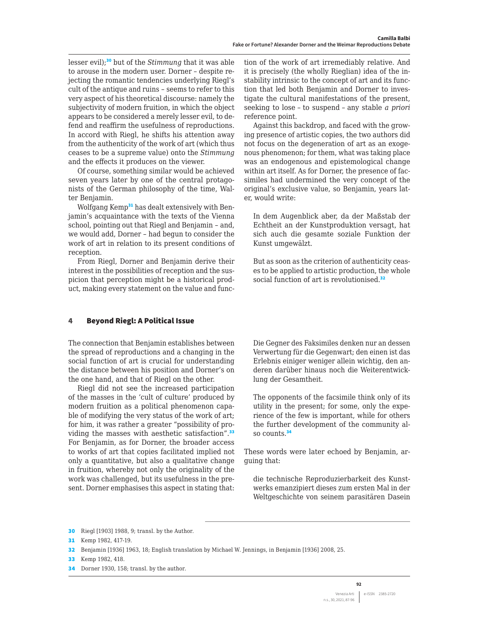lesser evil);<sup>30</sup> but of the *Stimmung* that it was able to arouse in the modern user. Dorner – despite rejecting the romantic tendencies underlying Riegl's cult of the antique and ruins – seems to refer to this very aspect of his theoretical discourse: namely the subjectivity of modern fruition, in which the object appears to be considered a merely lesser evil, to defend and reaffirm the usefulness of reproductions. In accord with Riegl, he shifts his attention away from the authenticity of the work of art (which thus ceases to be a supreme value) onto the *Stimmung* and the effects it produces on the viewer.

Of course, something similar would be achieved seven years later by one of the central protagonists of the German philosophy of the time, Walter Benjamin.

Wolfgang Kemp<sup>31</sup> has dealt extensively with Benjamin's acquaintance with the texts of the Vienna school, pointing out that Riegl and Benjamin – and, we would add, Dorner – had begun to consider the work of art in relation to its present conditions of reception.

From Riegl, Dorner and Benjamin derive their interest in the possibilities of reception and the suspicion that perception might be a historical product, making every statement on the value and function of the work of art irremediably relative. And it is precisely (the wholly Rieglian) idea of the instability intrinsic to the concept of art and its function that led both Benjamin and Dorner to investigate the cultural manifestations of the present, seeking to lose – to suspend – any stable *a priori*  reference point.

Against this backdrop, and faced with the growing presence of artistic copies, the two authors did not focus on the degeneration of art as an exogenous phenomenon; for them, what was taking place was an endogenous and epistemological change within art itself. As for Dorner, the presence of facsimiles had undermined the very concept of the original's exclusive value, so Benjamin, years later, would write:

In dem Augenblick aber, da der Maßstab der Echtheit an der Kunstproduktion versagt, hat sich auch die gesamte soziale Funktion der Kunst umgewälzt.

But as soon as the criterion of authenticity ceases to be applied to artistic production, the whole social function of art is revolutionised.<sup>32</sup>

## 4 Beyond Riegl: A Political Issue

The connection that Benjamin establishes between the spread of reproductions and a changing in the social function of art is crucial for understanding the distance between his position and Dorner's on the one hand, and that of Riegl on the other.

Riegl did not see the increased participation of the masses in the 'cult of culture' produced by modern fruition as a political phenomenon capable of modifying the very status of the work of art; for him, it was rather a greater "possibility of providing the masses with aesthetic satisfaction".<sup>33</sup> For Benjamin, as for Dorner, the broader access to works of art that copies facilitated implied not only a quantitative, but also a qualitative change in fruition, whereby not only the originality of the work was challenged, but its usefulness in the present. Dorner emphasises this aspect in stating that:

Die Gegner des Faksimiles denken nur an dessen Verwertung für die Gegenwart; den einen ist das Erlebnis einiger weniger allein wichtig, den anderen darüber hinaus noch die Weiterentwicklung der Gesamtheit.

The opponents of the facsimile think only of its utility in the present; for some, only the experience of the few is important, while for others the further development of the community also counts.<sup>34</sup>

These words were later echoed by Benjamin, arguing that:

die technische Reproduzierbarkeit des Kunstwerks emanzipiert dieses zum ersten Mal in der Weltgeschichte von seinem parasitären Dasein

34 Dorner 1930, 158; transl. by the author.

<sup>30</sup> Riegl [1903] 1988, 9; transl. by the Author.

<sup>31</sup> Kemp 1982, 417-19.

<sup>32</sup> Benjamin [1936] 1963, 18; English translation by Michael W. Jennings, in Benjamin [1936] 2008, 25.

<sup>33</sup> Kemp 1982, 418.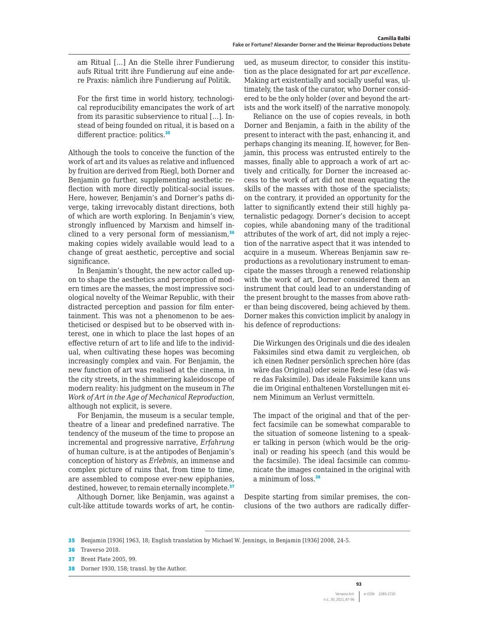am Ritual […] An die Stelle ihrer Fundierung aufs Ritual tritt ihre Fundierung auf eine andere Praxis: nämlich ihre Fundierung auf Politik.

For the first time in world history, technological reproducibility emancipates the work of art from its parasitic subservience to ritual […]. Instead of being founded on ritual, it is based on a different practice: politics.<sup>35</sup>

Although the tools to conceive the function of the work of art and its values as relative and influenced by fruition are derived from Riegl, both Dorner and Benjamin go further, supplementing aesthetic reflection with more directly political-social issues. Here, however, Benjamin's and Dorner's paths diverge, taking irrevocably distant directions, both of which are worth exploring. In Benjamin's view, strongly influenced by Marxism and himself inclined to a very personal form of messianism, $36$ making copies widely available would lead to a change of great aesthetic, perceptive and social significance.

In Benjamin's thought, the new actor called upon to shape the aesthetics and perception of modern times are the masses, the most impressive sociological novelty of the Weimar Republic, with their distracted perception and passion for film entertainment. This was not a phenomenon to be aestheticised or despised but to be observed with interest, one in which to place the last hopes of an effective return of art to life and life to the individual, when cultivating these hopes was becoming increasingly complex and vain. For Benjamin, the new function of art was realised at the cinema, in the city streets, in the shimmering kaleidoscope of modern reality: his judgment on the museum in *The Work of Art in the Age of Mechanical Reproduction*, although not explicit, is severe.

For Benjamin, the museum is a secular temple, theatre of a linear and predefined narrative. The tendency of the museum of the time to propose an incremental and progressive narrative, *Erfahrung* of human culture, is at the antipodes of Benjamin's conception of history as *Erlebnis*, an immense and complex picture of ruins that, from time to time, are assembled to compose ever-new epiphanies, destined, however, to remain eternally incomplete.<sup>37</sup>

Although Dorner, like Benjamin, was against a cult-like attitude towards works of art, he continued, as museum director, to consider this institution as the place designated for art *par excellence*. Making art existentially and socially useful was, ultimately, the task of the curator, who Dorner considered to be the only holder (over and beyond the artists and the work itself) of the narrative monopoly.

Reliance on the use of copies reveals, in both Dorner and Benjamin, a faith in the ability of the present to interact with the past, enhancing it, and perhaps changing its meaning. If, however, for Benjamin, this process was entrusted entirely to the masses, finally able to approach a work of art actively and critically, for Dorner the increased access to the work of art did not mean equating the skills of the masses with those of the specialists; on the contrary, it provided an opportunity for the latter to significantly extend their still highly paternalistic pedagogy. Dorner's decision to accept copies, while abandoning many of the traditional attributes of the work of art, did not imply a rejection of the narrative aspect that it was intended to acquire in a museum. Whereas Benjamin saw reproductions as a revolutionary instrument to emancipate the masses through a renewed relationship with the work of art, Dorner considered them an instrument that could lead to an understanding of the present brought to the masses from above rather than being discovered, being achieved by them. Dorner makes this conviction implicit by analogy in his defence of reproductions:

Die Wirkungen des Originals und die des idealen Faksimiles sind etwa damit zu vergleichen, ob ich einen Redner persönlich sprechen höre (das wäre das Original) oder seine Rede lese (das wäre das Faksimile). Das ideale Faksimile kann uns die im Original enthaltenen Vorstellungen mit einem Minimum an Verlust vermitteln.

The impact of the original and that of the perfect facsimile can be somewhat comparable to the situation of someone listening to a speaker talking in person (which would be the original) or reading his speech (and this would be the facsimile). The ideal facsimile can communicate the images contained in the original with a minimum of loss.<sup>38</sup>

Despite starting from similar premises, the conclusions of the two authors are radically differ-

<sup>35</sup> Benjamin [1936] 1963, 18; English translation by Michael W. Jennings, in Benjamin [1936] 2008, 24-5.

**<sup>36</sup>** Traverso 2018.

<sup>37</sup> Brent Plate 2005, 99.

<sup>38</sup> Dorner 1930, 158; transl. by the Author.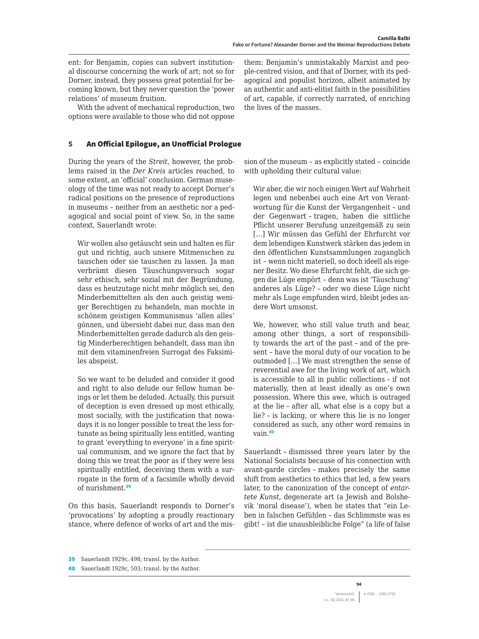ent: for Benjamin, copies can subvert institutional discourse concerning the work of art; not so for Dorner, instead, they possess great potential for becoming known, but they never question the 'power relations' of museum fruition.

With the advent of mechanical reproduction, two options were available to those who did not oppose

## 5 An Official Epilogue, an Unofficial Prologue

During the years of the *Streit*, however, the problems raised in the *Der Kreis* articles reached, to some extent, an 'official' conclusion. German museology of the time was not ready to accept Dorner's radical positions on the presence of reproductions in museums – neither from an aesthetic nor a pedagogical and social point of view. So, in the same context, Sauerlandt wrote:

Wir wollen also getäuscht sein und halten es für gut und richtig, auch unsere Mitmenschen zu tauschen oder sie tauschen zu lassen. Ja man verbrämt diesen Täuschungsversuch sogar sehr ethisch, sehr sozial mit der Begründung, dass es heutzutage nicht mehr möglich sei, den Minderbemittelten als den auch geistig weniger Berechtigen zu behandeln, man mochte in schönem geistigen Kommunismus 'allen alles' gönnen, und übersieht dabei nur, dass man den Minderbemittelten gerade dadurch als den geistig Minderberechtigen behandelt, dass man ihn mit dem vitaminenfreien Surrogat des Faksimiles abspeist.

So we want to be deluded and consider it good and right to also delude our fellow human beings or let them be deluded. Actually, this pursuit of deception is even dressed up most ethically, most socially, with the justification that nowadays it is no longer possible to treat the less fortunate as being spiritually less entitled, wanting to grant 'everything to everyone' in a fine spiritual communism, and we ignore the fact that by doing this we treat the poor as if they were less spiritually entitled, deceiving them with a surrogate in the form of a facsimile wholly devoid of nurishment.<sup>39</sup>

On this basis, Sauerlandt responds to Dorner's 'provocations' by adopting a proudly reactionary stance, where defence of works of art and the misthem: Benjamin's unmistakably Marxist and people-centred vision, and that of Dorner, with its pedagogical and populist horizon, albeit animated by an authentic and anti-elitist faith in the possibilities of art, capable, if correctly narrated, of enriching the lives of the masses.

sion of the museum – as explicitly stated – coincide with upholding their cultural value:

Wir aber, die wir noch einigen Wert auf Wahrheit legen und nebenbei auch eine Art von Verantwortung für die Kunst der Vergangenheit – und der Gegenwart – tragen, haben die sittliche Pflicht unserer Berufung unzeitgemäß zu sein […] Wir müssen das Gefühl der Ehrfurcht vor dem lebendigen Kunstwerk stärken das jedem in den öffentlichen Kunstsammlungen zuganglich ist – wenn nicht materiell, so doch ideell als eigener Besitz. Wo diese Ehrfurcht fehlt, die sich gegen die Lüge empört – denn was ist 'Täuschung' anderes als Lüge? – oder wo diese Lüge nicht mehr als Luge empfunden wird, bleibt jedes andere Wort umsonst.

We, however, who still value truth and bear, among other things, a sort of responsibility towards the art of the past – and of the present – have the moral duty of our vocation to be outmoded […] We must strengthen the sense of reverential awe for the living work of art, which is accessible to all in public collections – if not materially, then at least ideally as one's own possession. Where this awe, which is outraged at the lie – after all, what else is a copy but a lie? – is lacking, or where this lie is no longer considered as such, any other word remains in vain.<sup>40</sup>

Sauerlandt – dismissed three years later by the National Socialists because of his connection with avant-garde circles – makes precisely the same shift from aesthetics to ethics that led, a few years later, to the canonization of the concept of *entartete Kunst*, degenerate art (a Jewish and Bolshevik 'moral disease'), when he states that "ein Leben in falschen Gefühlen – das Schlimmste was es gibt! – ist die unausbleibliche Folge" (a life of false

<sup>39</sup> Sauerlandt 1929c, 498; transl. by the Author.

<sup>40</sup> Sauerlandt 1929c, 503; transl. by the Author.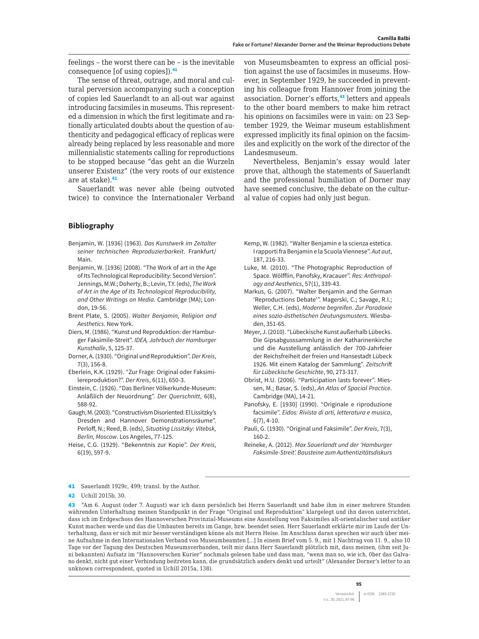feelings – the worst there can be – is the inevitable consequence [of using copies]).<sup>41</sup>

The sense of threat, outrage, and moral and cultural perversion accompanying such a conception of copies led Sauerlandt to an all-out war against introducing facsimiles in museums. This represented a dimension in which the first legitimate and rationally articulated doubts about the question of authenticity and pedagogical efficacy of replicas were already being replaced by less reasonable and more millennialistic statements calling for reproductions to be stopped because "das geht an die Wurzeln unserer Existenz" (the very roots of our existence are at stake).<sup>42</sup>

Sauerlandt was never able (being outvoted twice) to convince the Internationaler Verband

### **Bibliography**

- Benjamin, W. [1936] (1963). *Das Kunstwerk im Zeitalter seiner technischen Reproduzierbarkeit*. Frankfurt/ Main.
- Benjamin, W. [1936] (2008). "The Work of art in the Age of Its Technological Reproducibility: Second Version". Jennings, M.W.; Doherty, B.; Levin, T.Y. (eds), *The Work of Art in the Age of Its Technological Reproducibility, and Other Writings on Media*. Cambridge (MA); London, 19-56.
- Brent Plate, S. (2005). *Walter Benjamin, Religion and Aesthetics*. New York.
- Diers, M. (1986). "Kunst und Reproduktion: der Hamburger Faksimile-Streit". *IDEA, Jahrbuch der Hamburger Kunsthalle*, 5, 125-37.
- Dorner, A. (1930). "Original und Reproduktion". *Der Kreis*, 7(3), 156-8.
- Eberlein, K.K. (1929). "Zur Frage: Original oder Faksimilereproduktion?". *Der Kreis*, 6(11), 650-3.
- Einstein, C. (1926). "Das Berliner Völkerkunde-Museum: Anläßlich der Neuordnung". *Der Querschnitt*, 6(8), 588-92.
- Gaugh, M. (2003). "Constructivism Disoriented: El Lissitzky's Dresden and Hannover Demonstrationsräume". Perloff, N.; Reed, B. (eds), *Situating Lissitzky: Vitebsk, Berlin, Moscow*. Los Angeles, 77-125.
- Heise, C.G. (1929). "Bekenntnis zur Kopie". *Der Kreis*, 6(19), 597-9.

von Museumsbeamten to express an official position against the use of facsimiles in museums. However, in September 1929, he succeeded in preventing his colleague from Hannover from joining the association. Dorner's efforts,<sup>43</sup> letters and appeals to the other board members to make him retract his opinions on facsimiles were in vain: on 23 September 1929, the Weimar museum establishment expressed implicitly its final opinion on the facsimiles and explicitly on the work of the director of the Landesmuseum.

Nevertheless, Benjamin's essay would later prove that, although the statements of Sauerlandt and the professional humiliation of Dorner may have seemed conclusive, the debate on the cultural value of copies had only just begun.

- Kemp, W. (1982). "Walter Benjamin e la scienza estetica. I rapporti fra Benjamin e la Scuola Viennese". *Aut aut*, 187, 216-33.
- Luke, M. (2010). "The Photographic Reproduction of Space. Wölfflin, Panofsky, Kracauer". *Res: Anthropology and Aesthetics*, 57(1), 339-43.
- Markus, G. (2007). "Walter Benjamin and the German 'Reproductions Debate'". Magerski, C.; Savage, R.I.; Weller, C.H. (eds), *Moderne begreifen. Zur Paradoxie eines sozio-ästhetischen Deutungsmusters*. Wiesbaden, 351-65.
- Meyer, J. (2010). "Lübeckische Kunst außerhalb Lübecks. Die Gipsabgusssammlung in der Katharinenkirche und die Ausstellung anlässlich der 700-Jahrfeier der Reichsfreiheit der freien und Hansestadt Lübeck 1926. Mit einem Katalog der Sammlung". *Zeitschrift für Lübeckische Geschichte*, 90, 273-317.
- Obrist, H.U. (2006). "Participation lasts forever". Miessen, M.; Basar, S. (eds), *An Atlas of Spacial Practice*. Cambridge (MA), 14-21.
- Panofsky, E. [1930] (1990). "Originale e riproduzione facsimile". *Eidos: Rivista di arti, letteratura e musica*, 6(7), 4-10.
- Pauli, G. (1930). "Original und Faksimile". *Der Kreis*, 7(3), 160-2.
- Reineke, A. (2012). *Max Sauerlandt und der 'Hamburger Faksimile-Streit'. Bausteine zum Authentizitätsdiskurs*

41 Sauerlandt 1929c, 499; transl. by the Author.

<sup>42</sup> Uchill 2015b, 30.

<sup>43</sup> "Am 6. August (oder 7. August) war ich dann persönlich bei Herrn Sauerlandt und habe ihm in einer mehrere Stunden währenden Unterhaltung meinen Standpunkt in der Frage "Original und Reproduktion" klargelegt und ihn davon unterrichtet, dass ich im Erdgeschoss des Hannoverschen Provinzial-Museums eine Ausstellung von Faksimiles alt-orientalischer und antiker Kunst machen werde und das die Umbauten bereits im Gange, bzw. beendet seien. Herr Sauerlandt erklärte mir im Laufe der Unterhaltung, dass er sich mit mir besser verständigen könne als mit Herrn Heise. Im Anschluss daran sprechen wir auch über meine Aufnahme in den Internationalen Verband von Museumbeamten […] In einem Brief vom 5. 9., mit 1 Nachtrag von 11. 9., also 10 Tage vor der Tagung des Deutschen Museumsverbanden, teilt mir dann Herr Sauerlandt plötzlich mit, dass meinen, (ihm seit Juni bekannten) Aufsatz im "Hannoverschen Kurier" nochmals gelesen habe und dass man, "wenn man so, wie ich, 0ber das Galvano denkt, nicht gut einer Verbindung beitreten kann, die grundsätzlich anders denkt und urteilt" (Alexander Dorner's letter to an unknown correspondent, quoted in Uchill 2015a, 138).